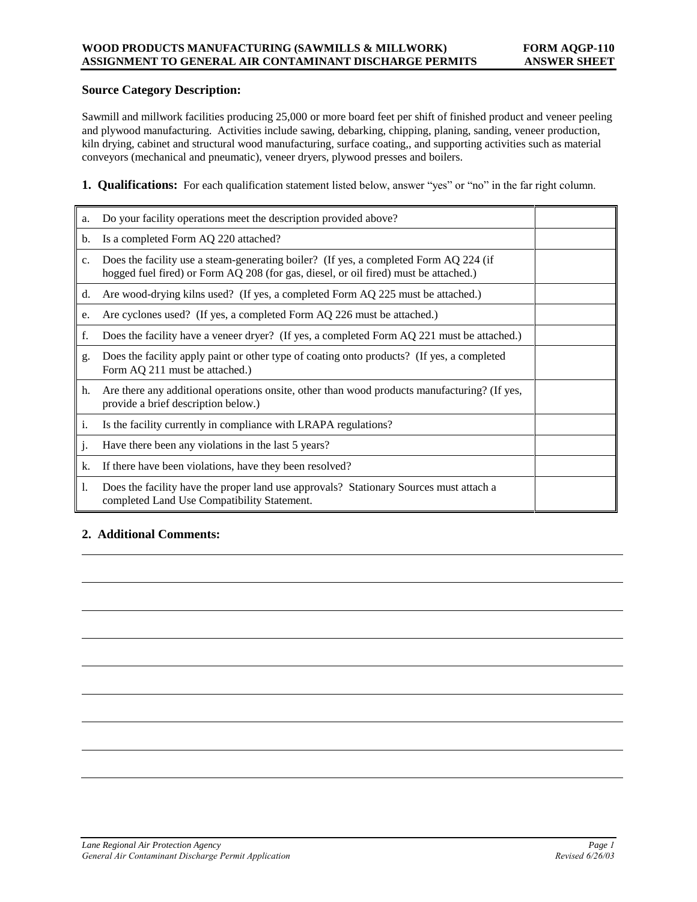#### **Source Category Description:**

Sawmill and millwork facilities producing 25,000 or more board feet per shift of finished product and veneer peeling and plywood manufacturing. Activities include sawing, debarking, chipping, planing, sanding, veneer production, kiln drying, cabinet and structural wood manufacturing, surface coating,, and supporting activities such as material conveyors (mechanical and pneumatic), veneer dryers, plywood presses and boilers.

**1. Qualifications:** For each qualification statement listed below, answer "yes" or "no" in the far right column.

| a.             | Do your facility operations meet the description provided above?                                                                                                              |  |
|----------------|-------------------------------------------------------------------------------------------------------------------------------------------------------------------------------|--|
| $\mathbf{b}$ . | Is a completed Form AQ 220 attached?                                                                                                                                          |  |
| $C_{\star}$    | Does the facility use a steam-generating boiler? (If yes, a completed Form AQ 224 (if<br>hogged fuel fired) or Form AQ 208 (for gas, diesel, or oil fired) must be attached.) |  |
| d.             | Are wood-drying kilns used? (If yes, a completed Form AQ 225 must be attached.)                                                                                               |  |
| e.             | Are cyclones used? (If yes, a completed Form AQ 226 must be attached.)                                                                                                        |  |
| f.             | Does the facility have a veneer dryer? (If yes, a completed Form AQ 221 must be attached.)                                                                                    |  |
| g.             | Does the facility apply paint or other type of coating onto products? (If yes, a completed<br>Form AQ 211 must be attached.)                                                  |  |
| h.             | Are there any additional operations onsite, other than wood products manufacturing? (If yes,<br>provide a brief description below.)                                           |  |
| $\mathbf{i}$ . | Is the facility currently in compliance with LRAPA regulations?                                                                                                               |  |
| j.             | Have there been any violations in the last 5 years?                                                                                                                           |  |
| k.             | If there have been violations, have they been resolved?                                                                                                                       |  |
| 1.             | Does the facility have the proper land use approvals? Stationary Sources must attach a<br>completed Land Use Compatibility Statement.                                         |  |

# **2. Additional Comments:**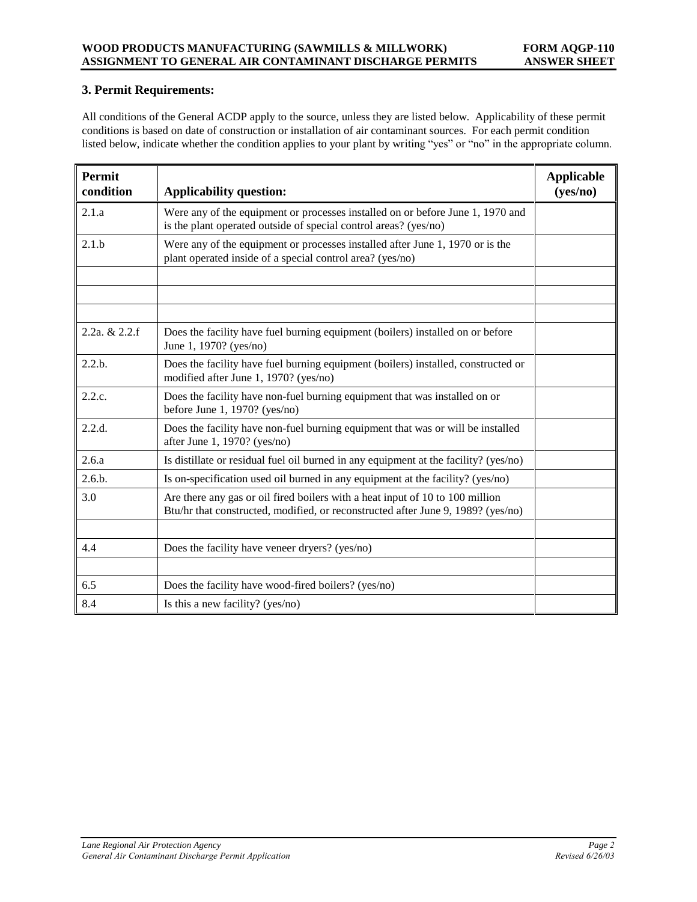# **3. Permit Requirements:**

All conditions of the General ACDP apply to the source, unless they are listed below. Applicability of these permit conditions is based on date of construction or installation of air contaminant sources. For each permit condition listed below, indicate whether the condition applies to your plant by writing "yes" or "no" in the appropriate column.

| Permit<br>condition | <b>Applicability question:</b>                                                                                                                                    | <b>Applicable</b><br>(yes/no) |
|---------------------|-------------------------------------------------------------------------------------------------------------------------------------------------------------------|-------------------------------|
| 2.1.a               | Were any of the equipment or processes installed on or before June 1, 1970 and<br>is the plant operated outside of special control areas? (yes/no)                |                               |
| 2.1.b               | Were any of the equipment or processes installed after June 1, 1970 or is the<br>plant operated inside of a special control area? (yes/no)                        |                               |
|                     |                                                                                                                                                                   |                               |
| 2.2a, $& 2.2.f$     | Does the facility have fuel burning equipment (boilers) installed on or before<br>June 1, 1970? (yes/no)                                                          |                               |
| 2.2.b.              | Does the facility have fuel burning equipment (boilers) installed, constructed or<br>modified after June 1, 1970? (yes/no)                                        |                               |
| 2.2.c.              | Does the facility have non-fuel burning equipment that was installed on or<br>before June 1, 1970? ( $yes/no$ )                                                   |                               |
| 2.2.d.              | Does the facility have non-fuel burning equipment that was or will be installed<br>after June 1, 1970? (yes/no)                                                   |                               |
| 2.6.a               | Is distillate or residual fuel oil burned in any equipment at the facility? (yes/no)                                                                              |                               |
| 2.6.b.              | Is on-specification used oil burned in any equipment at the facility? (yes/no)                                                                                    |                               |
| 3.0                 | Are there any gas or oil fired boilers with a heat input of 10 to 100 million<br>Btu/hr that constructed, modified, or reconstructed after June 9, 1989? (yes/no) |                               |
|                     |                                                                                                                                                                   |                               |
| 4.4                 | Does the facility have veneer dryers? (yes/no)                                                                                                                    |                               |
|                     |                                                                                                                                                                   |                               |
| 6.5                 | Does the facility have wood-fired boilers? (yes/no)                                                                                                               |                               |
| 8.4                 | Is this a new facility? (yes/no)                                                                                                                                  |                               |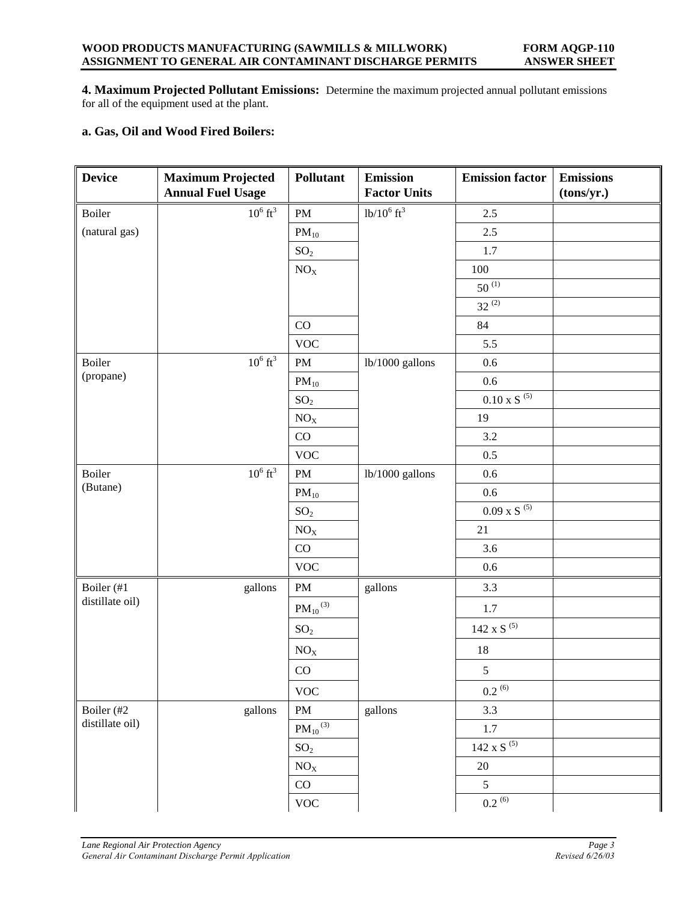**4. Maximum Projected Pollutant Emissions:** Determine the maximum projected annual pollutant emissions for all of the equipment used at the plant.

# **a. Gas, Oil and Wood Fired Boilers:**

| <b>Device</b>   | <b>Maximum Projected</b><br><b>Annual Fuel Usage</b> | Pollutant                | <b>Emission</b><br><b>Factor Units</b> | <b>Emission factor</b>             | <b>Emissions</b><br>(tons/yr.) |
|-----------------|------------------------------------------------------|--------------------------|----------------------------------------|------------------------------------|--------------------------------|
| Boiler          | $10^6$ ft <sup>3</sup>                               | $\mathbf{PM}$            | $1b/10^6$ ft <sup>3</sup>              | 2.5                                |                                |
| (natural gas)   |                                                      | $PM_{10}$                |                                        | 2.5                                |                                |
|                 |                                                      | SO <sub>2</sub>          |                                        | 1.7                                |                                |
|                 |                                                      | NO <sub>X</sub>          |                                        | 100                                |                                |
|                 |                                                      |                          |                                        | $50^{(1)}$                         |                                |
|                 |                                                      |                          |                                        | $32^{(2)}$                         |                                |
|                 |                                                      | CO                       |                                        | 84                                 |                                |
|                 |                                                      | <b>VOC</b>               |                                        | 5.5                                |                                |
| Boiler          | $10^6$ ft <sup>3</sup>                               | $\mathbf{PM}$            | lb/1000 gallons                        | 0.6                                |                                |
| (propane)       |                                                      | $PM_{10}$                |                                        | 0.6                                |                                |
|                 |                                                      | SO <sub>2</sub>          |                                        | $0.10$ x S $^{\left( 5\right) }$   |                                |
|                 |                                                      | NO <sub>X</sub>          |                                        | 19                                 |                                |
|                 |                                                      | $\rm CO$                 |                                        | $3.2\,$                            |                                |
|                 |                                                      | <b>VOC</b>               |                                        | 0.5                                |                                |
| Boiler          | $10^6$ ft <sup>3</sup>                               | PM                       | lb/1000 gallons                        | 0.6                                |                                |
| (Butane)        |                                                      | $PM_{10}$                |                                        | 0.6                                |                                |
|                 |                                                      | SO <sub>2</sub>          |                                        | $0.09$ x S $^{\left( 5\right) }$   |                                |
|                 |                                                      | $NO_X$                   |                                        | 21                                 |                                |
|                 |                                                      | CO                       |                                        | 3.6                                |                                |
|                 |                                                      | <b>VOC</b>               |                                        | 0.6                                |                                |
| Boiler (#1      | gallons                                              | $\mathbf{PM}$            | gallons                                | 3.3                                |                                |
| distillate oil) |                                                      | $\mathrm{PM_{10}}^{(3)}$ |                                        | 1.7                                |                                |
|                 |                                                      | SO <sub>2</sub>          |                                        | $142$ x S $^{\textrm{\tiny{(5)}}}$ |                                |
|                 |                                                      | NO <sub>X</sub>          |                                        | 18                                 |                                |
|                 |                                                      | CO                       |                                        | $\sqrt{5}$                         |                                |
|                 |                                                      | <b>VOC</b>               |                                        | $0.2^{(6)}$                        |                                |
| Boiler (#2      | gallons                                              | $\mathbf{PM}$            | gallons                                | 3.3                                |                                |
| distillate oil) |                                                      | $PM_{10}^{(3)}$          |                                        | 1.7                                |                                |
|                 |                                                      | SO <sub>2</sub>          |                                        | $142$ x S $^{\left( 5\right) }$    |                                |
|                 |                                                      | NO <sub>X</sub>          |                                        | $20\,$                             |                                |
|                 |                                                      | $\rm CO$                 |                                        | $\sqrt{5}$                         |                                |
|                 |                                                      | <b>VOC</b>               |                                        | $0.2^{(6)}$                        |                                |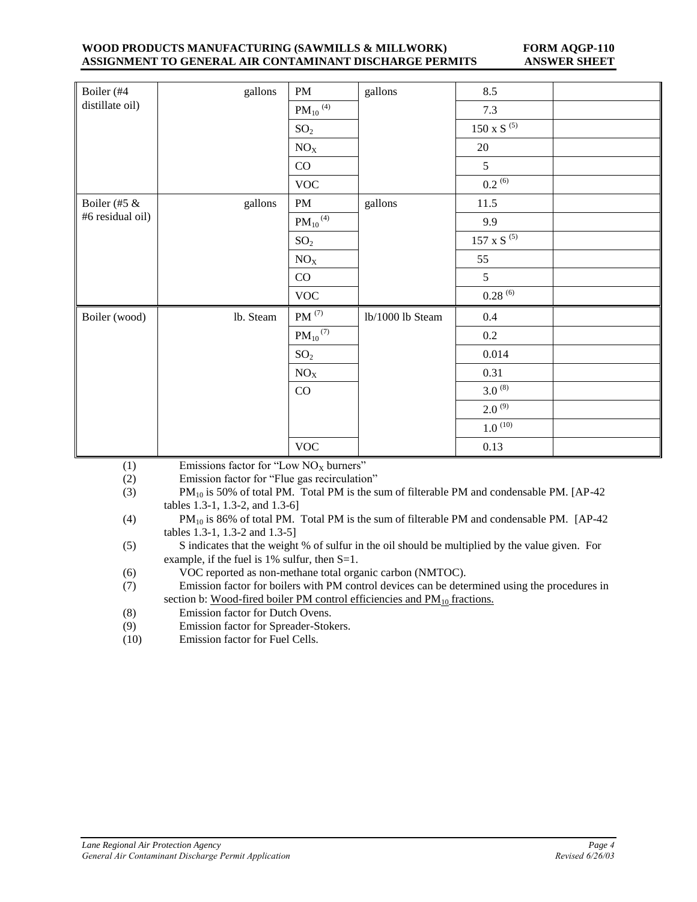#### **WOOD PRODUCTS MANUFACTURING (SAWMILLS & MILLWORK) FORM AQGP-110 ASSIGNMENT TO GENERAL AIR CONTAMINANT DISCHARGE PERMITS ANSWER SHEET**

| Boiler (#4       | gallons   | PM                       | gallons          | 8.5                                |  |
|------------------|-----------|--------------------------|------------------|------------------------------------|--|
| distillate oil)  |           | $PM_{10}$ <sup>(4)</sup> |                  | 7.3                                |  |
|                  |           | SO <sub>2</sub>          |                  | $150 \times S^{(5)}$               |  |
|                  |           | NO <sub>X</sub>          |                  | 20                                 |  |
|                  |           | CO                       |                  | 5                                  |  |
|                  |           | <b>VOC</b>               |                  | $0.2^{(6)}$                        |  |
| Boiler (#5 &     | gallons   | PM                       | gallons          | 11.5                               |  |
| #6 residual oil) |           | $PM_{10}$ <sup>(4)</sup> |                  | 9.9                                |  |
|                  |           | SO <sub>2</sub>          |                  | $157$ x S $^{\textrm{\tiny{(5)}}}$ |  |
|                  |           | $NO_X$                   |                  | 55                                 |  |
|                  |           | CO                       |                  | 5                                  |  |
|                  |           | $\rm VOC$                |                  | $0.28^{(6)}$                       |  |
| Boiler (wood)    | lb. Steam | $PM$ <sup>(7)</sup>      | lb/1000 lb Steam | 0.4                                |  |
|                  |           | $\mathrm{PM_{10}}^{(7)}$ |                  | $0.2\,$                            |  |
|                  |           | SO <sub>2</sub>          |                  | 0.014                              |  |
|                  |           | $\rm NO_X$               |                  | 0.31                               |  |
|                  |           | CO                       |                  | $3.0^{(8)}$                        |  |
|                  |           |                          |                  | $2.0^{(9)}$                        |  |
|                  |           |                          |                  | $1.0^{(10)}$                       |  |
|                  |           | <b>VOC</b>               |                  | 0.13                               |  |

(1) Emissions factor for "Low  $NO_x$  burners"

(2) Emission factor for "Flue gas recirculation"

(3) PM<sub>10</sub> is 50% of total PM. Total PM is the sum of filterable PM and condensable PM. [AP-42] tables 1.3-1, 1.3-2, and 1.3-6]

(5) S indicates that the weight % of sulfur in the oil should be multiplied by the value given. For example, if the fuel is 1% sulfur, then S=1.

(6) VOC reported as non-methane total organic carbon (NMTOC).

(7) Emission factor for boilers with PM control devices can be determined using the procedures in section b: Wood-fired boiler PM control efficiencies and  $PM_{10}$  fractions.

- (8) Emission factor for Dutch Ovens.
- (9) Emission factor for Spreader-Stokers.
- (10) Emission factor for Fuel Cells.

<sup>(4)</sup> PM<sub>10</sub> is 86% of total PM. Total PM is the sum of filterable PM and condensable PM. [AP-42] tables 1.3-1, 1.3-2 and 1.3-5]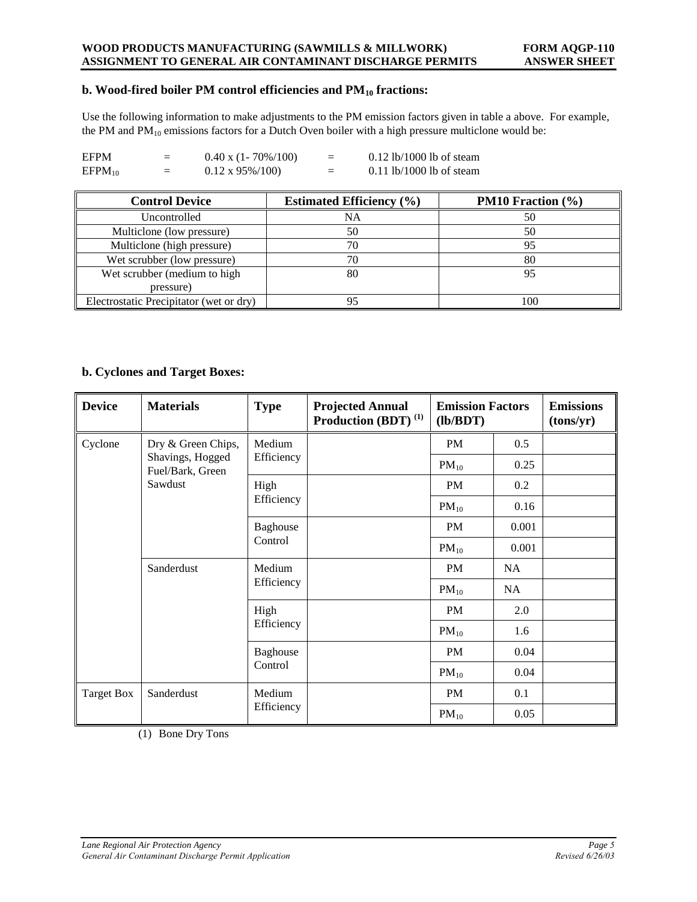#### **WOOD PRODUCTS MANUFACTURING (SAWMILLS & MILLWORK) FORM AQGP-110 ASSIGNMENT TO GENERAL AIR CONTAMINANT DISCHARGE PERMITS ANSWER SHEET**

### **b. Wood-fired boiler PM control efficiencies and PM<sup>10</sup> fractions:**

Use the following information to make adjustments to the PM emission factors given in table a above. For example, the PM and  $PM_{10}$  emissions factors for a Dutch Oven boiler with a high pressure multiclone would be:

| EFPM        | $=$ | $0.40 \times (1 - 70\%/100)$ | ⋍ | $0.12$ lb/1000 lb of steam |
|-------------|-----|------------------------------|---|----------------------------|
| $EFPM_{10}$ | $=$ | $0.12 \times 95\%/100$       | ⋍ | $0.11$ lb/1000 lb of steam |

| <b>Control Device</b>                   | <b>Estimated Efficiency</b> (%) | <b>PM10</b> Fraction $(\%)$ |
|-----------------------------------------|---------------------------------|-----------------------------|
| Uncontrolled                            | NA                              | 50                          |
| Multiclone (low pressure)               | 50                              | 50                          |
| Multiclone (high pressure)              | 70                              | 95                          |
| Wet scrubber (low pressure)             | 70                              | 80                          |
| Wet scrubber (medium to high            | 80                              | 95                          |
| pressure)                               |                                 |                             |
| Electrostatic Precipitator (wet or dry) |                                 | 100                         |

## **b. Cyclones and Target Boxes:**

| <b>Device</b>     | <b>Materials</b>                     | <b>Type</b> | <b>Projected Annual</b><br>Production (BDT) <sup>(1)</sup> | <b>Emission Factors</b><br>(lb/BDT) |           | <b>Emissions</b><br>(tons/yr) |
|-------------------|--------------------------------------|-------------|------------------------------------------------------------|-------------------------------------|-----------|-------------------------------|
| Cyclone           | Dry & Green Chips,                   | Medium      |                                                            | PM                                  | 0.5       |                               |
|                   | Shavings, Hogged<br>Fuel/Bark, Green | Efficiency  |                                                            | $PM_{10}$                           | 0.25      |                               |
|                   | Sawdust                              | High        |                                                            | PM                                  | 0.2       |                               |
|                   |                                      | Efficiency  |                                                            | $PM_{10}$                           | 0.16      |                               |
|                   |                                      | Baghouse    |                                                            | PM                                  | 0.001     |                               |
|                   |                                      | Control     |                                                            | $PM_{10}$                           | 0.001     |                               |
| Sanderdust        |                                      | Medium      |                                                            | PM                                  | <b>NA</b> |                               |
|                   |                                      | Efficiency  |                                                            | $PM_{10}$                           | NA        |                               |
|                   |                                      | High        |                                                            | PM                                  | 2.0       |                               |
|                   |                                      | Efficiency  |                                                            | $PM_{10}$                           | 1.6       |                               |
|                   |                                      | Baghouse    |                                                            | PM                                  | 0.04      |                               |
|                   |                                      | Control     |                                                            | $PM_{10}$                           | 0.04      |                               |
| <b>Target Box</b> | Sanderdust                           | Medium      |                                                            | PM                                  | 0.1       |                               |
|                   |                                      | Efficiency  |                                                            | $PM_{10}$                           | 0.05      |                               |

(1) Bone Dry Tons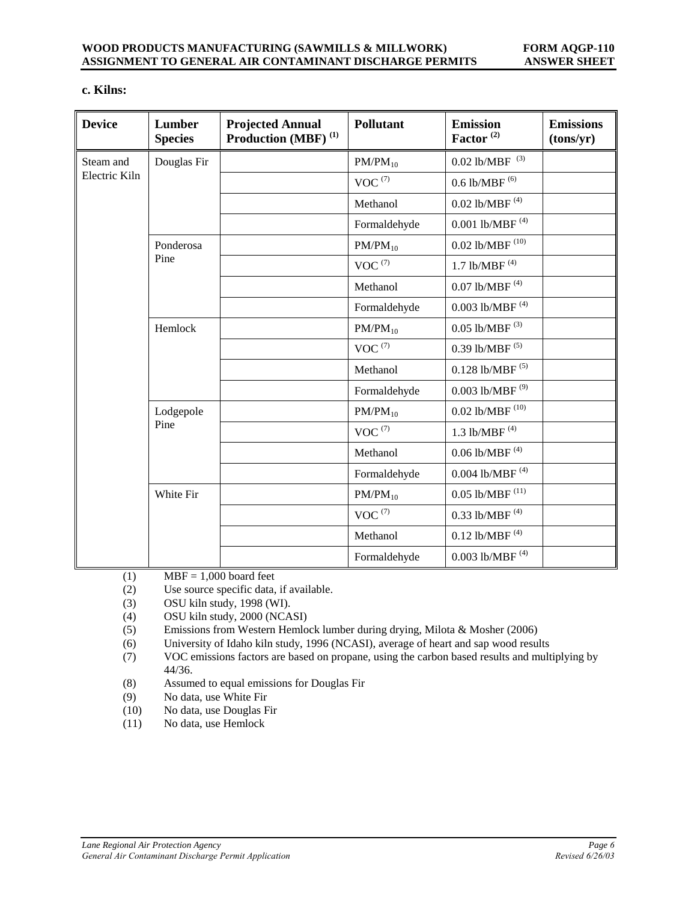## **c. Kilns:**

| <b>Device</b> | Lumber<br><b>Species</b> | <b>Projected Annual</b><br>Production (MBF) <sup>(1)</sup> | <b>Pollutant</b>      | <b>Emission</b><br>Factor <sup>(2)</sup> | <b>Emissions</b><br>(tons/yr) |
|---------------|--------------------------|------------------------------------------------------------|-----------------------|------------------------------------------|-------------------------------|
| Steam and     | Douglas Fir              |                                                            | $PM/PM_{10}$          | $0.02$ lb/MBF $\,^{(3)}$                 |                               |
| Electric Kiln |                          |                                                            | $VOC^{(7)}$           | $0.6$ lb/MBF $^{(6)}$                    |                               |
|               |                          |                                                            | Methanol              | 0.02 lb/MBF $(4)$                        |                               |
|               |                          |                                                            | Formaldehyde          | 0.001 lb/MBF $(4)$                       |                               |
|               | Ponderosa                |                                                            | $PM/PM_{10}$          | $0.02$ lb/MBF $^{\left(10\right)}$       |                               |
|               | Pine                     |                                                            | $VOC^{(7)}$           | 1.7 lb/MBF $(4)$                         |                               |
|               |                          |                                                            | Methanol              | 0.07 lb/MBF $(4)$                        |                               |
|               |                          |                                                            | Formaldehyde          | $0.003$ lb/MBF $^{\left(4\right)}$       |                               |
|               | Hemlock                  |                                                            | $PM/PM_{10}$          | $0.05$ lb/MBF $^{(3)}$                   |                               |
|               |                          |                                                            | $VOC^{(7)}$           | 0.39 lb/MBF $(5)$                        |                               |
|               |                          |                                                            | Methanol              | $0.128$ lb/MBF $^{\left( 5\right) }$     |                               |
|               |                          |                                                            | Formaldehyde          | $0.003$ lb/MBF $^{(9)}$                  |                               |
|               | Lodgepole<br>Pine        |                                                            | $PM/PM_{10}$          | 0.02 lb/MBF $^{(10)}$                    |                               |
|               |                          |                                                            | $VOC^{(7)}$           | 1.3 lb/MBF $(4)$                         |                               |
|               |                          |                                                            | Methanol              | $0.06$ lb/MBF <sup>(4)</sup>             |                               |
|               |                          |                                                            | Formaldehyde          | $0.004$ lb/MBF $^{(4)}$                  |                               |
|               | White Fir                |                                                            | $PM/PM_{10}$          | $0.05$ lb/MBF $^{\left(11\right)}$       |                               |
|               |                          |                                                            | $\text{VOC}$ $^{(7)}$ | 0.33 lb/MBF $(4)$                        |                               |
|               |                          |                                                            | Methanol              | $0.12$ lb/MBF $^{\left(4\right)}$        |                               |
|               |                          |                                                            | Formaldehyde          | 0.003 lb/MBF $(4)$                       |                               |

(1) MBF =  $1,000$  board feet

(2) Use source specific data, if available.

- (3) OSU kiln study, 1998 (WI).
- (4) OSU kiln study, 2000 (NCASI)
- (5) Emissions from Western Hemlock lumber during drying, Milota & Mosher (2006)
- (6) University of Idaho kiln study, 1996 (NCASI), average of heart and sap wood results
- (7) VOC emissions factors are based on propane, using the carbon based results and multiplying by 44/36.
- (8) Assumed to equal emissions for Douglas Fir
- (9) No data, use White Fir
- (10) No data, use Douglas Fir
- (11) No data, use Hemlock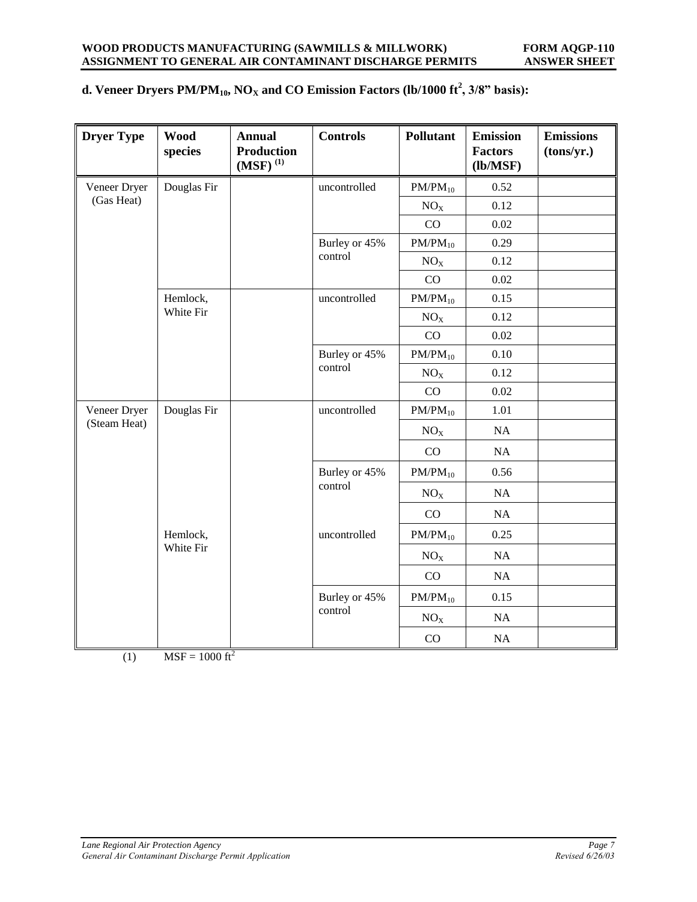# **d. Veneer Dryers PM/PM10, NO<sup>X</sup> and CO Emission Factors (lb/1000 ft<sup>2</sup> , 3/8" basis):**

| <b>Dryer Type</b> | <b>Wood</b><br>species | <b>Annual</b><br><b>Production</b><br>$\left( \text{MSF}\right) {}^{(1)}$ | <b>Controls</b>          | <b>Pollutant</b> | <b>Emission</b><br><b>Factors</b><br>(lb/MSF) | <b>Emissions</b><br>(tons/yr.) |
|-------------------|------------------------|---------------------------------------------------------------------------|--------------------------|------------------|-----------------------------------------------|--------------------------------|
| Veneer Dryer      | Douglas Fir            |                                                                           | uncontrolled             | $PM/PM_{10}$     | 0.52                                          |                                |
| (Gas Heat)        |                        |                                                                           |                          | NO <sub>x</sub>  | 0.12                                          |                                |
|                   |                        |                                                                           |                          | CO               | 0.02                                          |                                |
|                   |                        |                                                                           | Burley or 45%            | $PM/PM_{10}$     | 0.29                                          |                                |
|                   |                        |                                                                           | control                  | NO <sub>X</sub>  | 0.12                                          |                                |
|                   |                        |                                                                           |                          | CO               | 0.02                                          |                                |
|                   | Hemlock,               |                                                                           | uncontrolled             | $PM/PM_{10}$     | 0.15                                          |                                |
|                   | White Fir              |                                                                           |                          | NO <sub>X</sub>  | 0.12                                          |                                |
|                   |                        |                                                                           |                          | CO               | 0.02                                          |                                |
|                   |                        |                                                                           | Burley or 45%<br>control | $PM/PM_{10}$     | 0.10                                          |                                |
|                   |                        |                                                                           |                          | NO <sub>X</sub>  | 0.12                                          |                                |
|                   |                        |                                                                           |                          | CO               | 0.02                                          |                                |
| Veneer Dryer      | Douglas Fir            |                                                                           | uncontrolled             | $PM/PM_{10}$     | 1.01                                          |                                |
| (Steam Heat)      |                        |                                                                           | NO <sub>X</sub>          | NA               |                                               |                                |
|                   |                        |                                                                           |                          | CO               | NA                                            |                                |
|                   |                        | Burley or 45%                                                             | $PM/PM_{10}$             | 0.56             |                                               |                                |
|                   |                        |                                                                           | control                  | NO <sub>X</sub>  | NA                                            |                                |
|                   |                        |                                                                           |                          | CO               | NA                                            |                                |
|                   | Hemlock,               |                                                                           | uncontrolled             | $PM/PM_{10}$     | 0.25                                          |                                |
|                   | White Fir              |                                                                           |                          | NO <sub>X</sub>  | NA                                            |                                |
|                   |                        |                                                                           |                          | CO               | NA                                            |                                |
|                   |                        |                                                                           | Burley or 45%            | $PM/PM_{10}$     | 0.15                                          |                                |
|                   |                        |                                                                           | control                  | $\rm NO_X$       | NA                                            |                                |
|                   |                        |                                                                           |                          | CO               | NA                                            |                                |

(1) MSF =  $1000 \text{ ft}^2$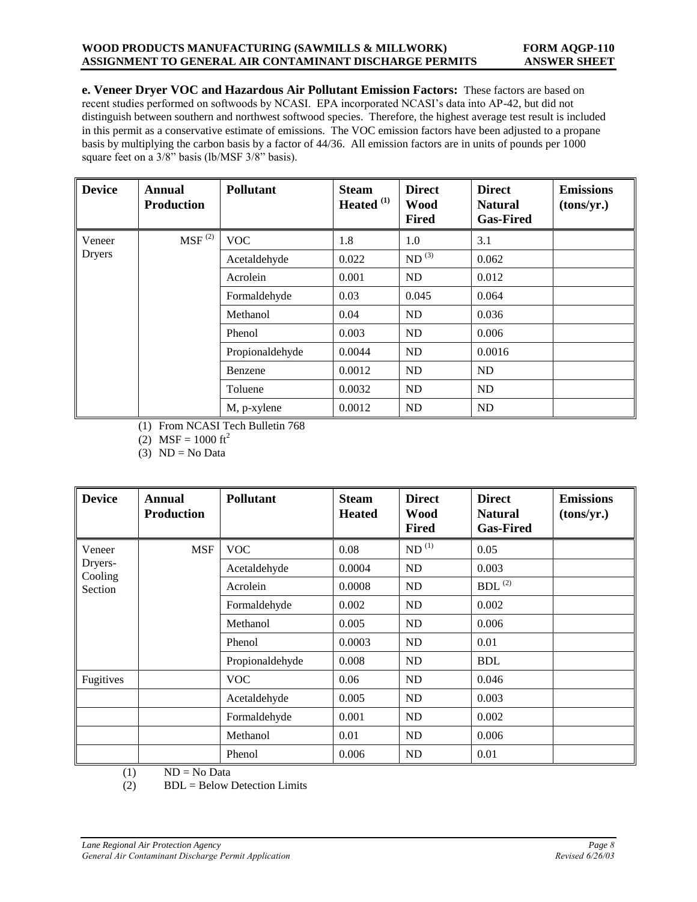#### **WOOD PRODUCTS MANUFACTURING (SAWMILLS & MILLWORK) FORM AQGP-110 ASSIGNMENT TO GENERAL AIR CONTAMINANT DISCHARGE PERMITS ANSWER SHEET**

**e. Veneer Dryer VOC and Hazardous Air Pollutant Emission Factors:** These factors are based on recent studies performed on softwoods by NCASI. EPA incorporated NCASI's data into AP-42, but did not distinguish between southern and northwest softwood species. Therefore, the highest average test result is included in this permit as a conservative estimate of emissions. The VOC emission factors have been adjusted to a propane basis by multiplying the carbon basis by a factor of 44/36. All emission factors are in units of pounds per 1000 square feet on a 3/8" basis (lb/MSF 3/8" basis).

| <b>Device</b> | Annual<br><b>Production</b> | <b>Pollutant</b> | <b>Steam</b><br>Heated <sup>(1)</sup> | <b>Direct</b><br><b>Wood</b><br>Fired | <b>Direct</b><br><b>Natural</b><br><b>Gas-Fired</b> | <b>Emissions</b><br>(tons/yr.) |
|---------------|-----------------------------|------------------|---------------------------------------|---------------------------------------|-----------------------------------------------------|--------------------------------|
| Veneer        | $MSF$ <sup>(2)</sup>        | <b>VOC</b>       | 1.8                                   | 1.0                                   | 3.1                                                 |                                |
| <b>Dryers</b> |                             | Acetaldehyde     | 0.022                                 | $ND^{(3)}$                            | 0.062                                               |                                |
|               |                             | Acrolein         | 0.001                                 | ND                                    | 0.012                                               |                                |
|               |                             | Formaldehyde     | 0.03                                  | 0.045                                 | 0.064                                               |                                |
|               |                             | Methanol         | 0.04                                  | ND                                    | 0.036                                               |                                |
|               |                             | Phenol           | 0.003                                 | ND                                    | 0.006                                               |                                |
|               |                             | Propionaldehyde  | 0.0044                                | N <sub>D</sub>                        | 0.0016                                              |                                |
|               |                             | Benzene          | 0.0012                                | ND                                    | <b>ND</b>                                           |                                |
|               |                             | Toluene          | 0.0032                                | ND                                    | <b>ND</b>                                           |                                |
|               |                             | M, p-xylene      | 0.0012                                | ND                                    | <b>ND</b>                                           |                                |

(1) From NCASI Tech Bulletin 768

(2) MSF =  $1000 \text{ ft}^2$ 

(3)  $ND = No Data$ 

| <b>Device</b>      | <b>Annual</b><br><b>Production</b> | <b>Pollutant</b> | <b>Steam</b><br><b>Heated</b> | <b>Direct</b><br><b>Wood</b><br><b>Fired</b> | <b>Direct</b><br><b>Natural</b><br><b>Gas-Fired</b> | <b>Emissions</b><br>(tons/yr.) |
|--------------------|------------------------------------|------------------|-------------------------------|----------------------------------------------|-----------------------------------------------------|--------------------------------|
| Veneer             | <b>MSF</b>                         | <b>VOC</b>       | 0.08                          | ND <sup>(1)</sup>                            | 0.05                                                |                                |
| Dryers-<br>Cooling |                                    | Acetaldehyde     | 0.0004                        | ND                                           | 0.003                                               |                                |
| Section            |                                    | Acrolein         | 0.0008                        | ND                                           | BDL $^{(2)}$                                        |                                |
|                    |                                    | Formaldehyde     | 0.002                         | ND                                           | 0.002                                               |                                |
|                    |                                    | Methanol         | 0.005                         | ND                                           | 0.006                                               |                                |
|                    |                                    | Phenol           | 0.0003                        | ND                                           | 0.01                                                |                                |
|                    |                                    | Propionaldehyde  | 0.008                         | ND                                           | <b>BDL</b>                                          |                                |
| Fugitives          |                                    | <b>VOC</b>       | 0.06                          | ND                                           | 0.046                                               |                                |
|                    |                                    | Acetaldehyde     | 0.005                         | ND                                           | 0.003                                               |                                |
|                    |                                    | Formaldehyde     | 0.001                         | ND                                           | 0.002                                               |                                |
|                    |                                    | Methanol         | 0.01                          | ND                                           | 0.006                                               |                                |
|                    |                                    | Phenol           | 0.006                         | ND                                           | 0.01                                                |                                |

 $(1)$  ND = No Data

 $(B)$  BDL = Below Detection Limits